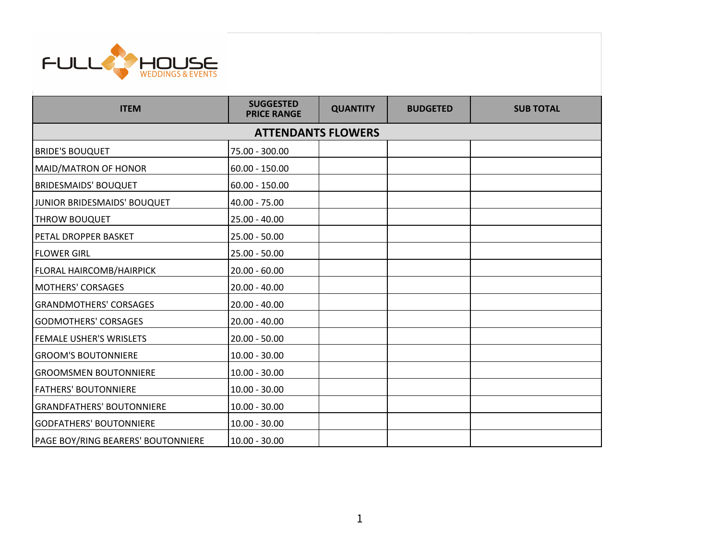

| <b>ITEM</b>                        | <b>SUGGESTED</b><br><b>PRICE RANGE</b> | <b>QUANTITY</b> | <b>BUDGETED</b> | <b>SUB TOTAL</b> |  |  |  |
|------------------------------------|----------------------------------------|-----------------|-----------------|------------------|--|--|--|
| <b>ATTENDANTS FLOWERS</b>          |                                        |                 |                 |                  |  |  |  |
| <b>BRIDE'S BOUQUET</b>             | 75.00 - 300.00                         |                 |                 |                  |  |  |  |
| MAID/MATRON OF HONOR               | $60.00 - 150.00$                       |                 |                 |                  |  |  |  |
| <b>BRIDESMAIDS' BOUQUET</b>        | $60.00 - 150.00$                       |                 |                 |                  |  |  |  |
| JUNIOR BRIDESMAIDS' BOUQUET        | $40.00 - 75.00$                        |                 |                 |                  |  |  |  |
| <b>THROW BOUQUET</b>               | $25.00 - 40.00$                        |                 |                 |                  |  |  |  |
| <b>PETAL DROPPER BASKET</b>        | $25.00 - 50.00$                        |                 |                 |                  |  |  |  |
| <b>FLOWER GIRL</b>                 | $25.00 - 50.00$                        |                 |                 |                  |  |  |  |
| <b>FLORAL HAIRCOMB/HAIRPICK</b>    | $20.00 - 60.00$                        |                 |                 |                  |  |  |  |
| <b>MOTHERS' CORSAGES</b>           | $20.00 - 40.00$                        |                 |                 |                  |  |  |  |
| <b>GRANDMOTHERS' CORSAGES</b>      | $20.00 - 40.00$                        |                 |                 |                  |  |  |  |
| <b>GODMOTHERS' CORSAGES</b>        | $20.00 - 40.00$                        |                 |                 |                  |  |  |  |
| <b>FEMALE USHER'S WRISLETS</b>     | $20.00 - 50.00$                        |                 |                 |                  |  |  |  |
| <b>GROOM'S BOUTONNIERE</b>         | $10.00 - 30.00$                        |                 |                 |                  |  |  |  |
| <b>GROOMSMEN BOUTONNIERE</b>       | $10.00 - 30.00$                        |                 |                 |                  |  |  |  |
| <b>FATHERS' BOUTONNIERE</b>        | $10.00 - 30.00$                        |                 |                 |                  |  |  |  |
| <b>GRANDFATHERS' BOUTONNIERE</b>   | $10.00 - 30.00$                        |                 |                 |                  |  |  |  |
| <b>GODFATHERS' BOUTONNIERE</b>     | $10.00 - 30.00$                        |                 |                 |                  |  |  |  |
| PAGE BOY/RING BEARERS' BOUTONNIERE | $10.00 - 30.00$                        |                 |                 |                  |  |  |  |